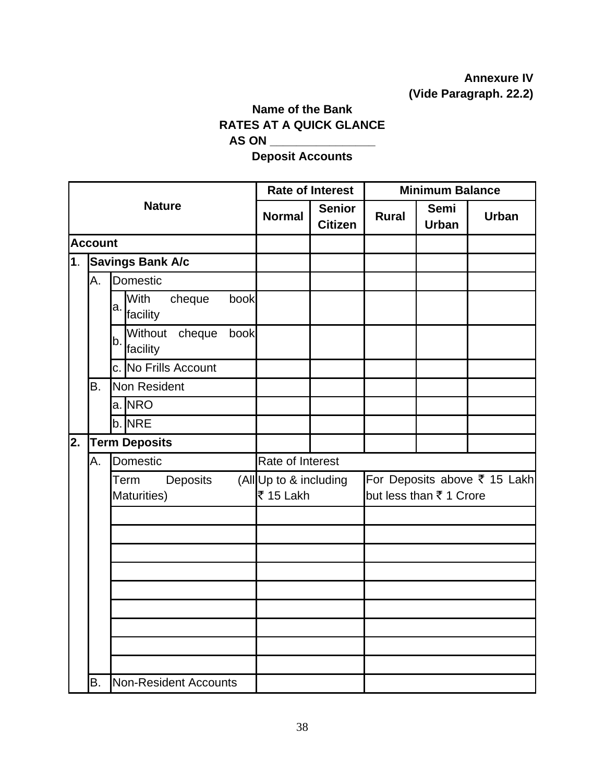## **Annexure IV (Vide Paragraph. 22.2)**

## **Name of the Bank RATES AT A QUICK GLANCE AS ON \_\_\_\_\_\_\_\_\_\_\_\_\_\_\_\_**

**Deposit Accounts** 

|                |                             |                               |          |      |                                     | <b>Rate of Interest</b>         | <b>Minimum Balance</b>                                  |                             |              |  |  |
|----------------|-----------------------------|-------------------------------|----------|------|-------------------------------------|---------------------------------|---------------------------------------------------------|-----------------------------|--------------|--|--|
|                |                             | <b>Nature</b>                 |          |      | <b>Normal</b>                       | <b>Senior</b><br><b>Citizen</b> | <b>Rural</b>                                            | <b>Semi</b><br><b>Urban</b> | <b>Urban</b> |  |  |
|                | <b>Account</b>              |                               |          |      |                                     |                                 |                                                         |                             |              |  |  |
| 1 <sub>1</sub> |                             | <b>Savings Bank A/c</b>       |          |      |                                     |                                 |                                                         |                             |              |  |  |
|                | А.                          | Domestic                      |          |      |                                     |                                 |                                                         |                             |              |  |  |
|                |                             | <b>With</b><br>a.<br>facility | cheque   | book |                                     |                                 |                                                         |                             |              |  |  |
|                |                             | Without<br>b.<br>facility     | cheque   | book |                                     |                                 |                                                         |                             |              |  |  |
|                |                             | c. No Frills Account          |          |      |                                     |                                 |                                                         |                             |              |  |  |
|                | <b>B.</b>                   | Non Resident                  |          |      |                                     |                                 |                                                         |                             |              |  |  |
|                |                             | a. NRO                        |          |      |                                     |                                 |                                                         |                             |              |  |  |
|                |                             | b. NRE                        |          |      |                                     |                                 |                                                         |                             |              |  |  |
| 2.             |                             | <b>Term Deposits</b>          |          |      |                                     |                                 |                                                         |                             |              |  |  |
|                | A.                          | Domestic                      |          |      | Rate of Interest                    |                                 |                                                         |                             |              |  |  |
|                |                             | Term<br>Maturities)           | Deposits |      | (All Up to & including<br>₹ 15 Lakh |                                 | For Deposits above ₹ 15 Lakh<br>but less than ₹ 1 Crore |                             |              |  |  |
|                |                             |                               |          |      |                                     |                                 |                                                         |                             |              |  |  |
|                |                             |                               |          |      |                                     |                                 |                                                         |                             |              |  |  |
|                |                             |                               |          |      |                                     |                                 |                                                         |                             |              |  |  |
|                |                             |                               |          |      |                                     |                                 |                                                         |                             |              |  |  |
|                |                             |                               |          |      |                                     |                                 |                                                         |                             |              |  |  |
|                |                             |                               |          |      |                                     |                                 |                                                         |                             |              |  |  |
|                |                             |                               |          |      |                                     |                                 |                                                         |                             |              |  |  |
|                |                             |                               |          |      |                                     |                                 |                                                         |                             |              |  |  |
|                |                             |                               |          |      |                                     |                                 |                                                         |                             |              |  |  |
|                | В.<br>Non-Resident Accounts |                               |          |      |                                     |                                 |                                                         |                             |              |  |  |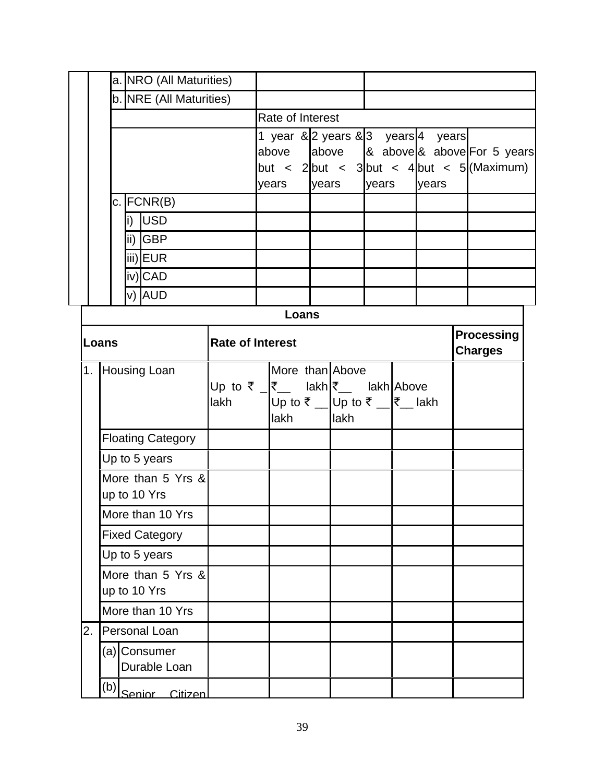|                                  |                                   |                         |  | a. NRO (All Maturities)      |                                                                                                                                                    |                         |       |                |  |                                                                                           |                                     |                                                                     |  |  |  |  |  |
|----------------------------------|-----------------------------------|-------------------------|--|------------------------------|----------------------------------------------------------------------------------------------------------------------------------------------------|-------------------------|-------|----------------|--|-------------------------------------------------------------------------------------------|-------------------------------------|---------------------------------------------------------------------|--|--|--|--|--|
|                                  |                                   | b. NRE (All Maturities) |  |                              |                                                                                                                                                    |                         |       |                |  |                                                                                           |                                     |                                                                     |  |  |  |  |  |
|                                  |                                   |                         |  |                              |                                                                                                                                                    | <b>Rate of Interest</b> |       |                |  |                                                                                           |                                     |                                                                     |  |  |  |  |  |
|                                  |                                   |                         |  |                              | 1 year & 2 years & 3 years 4 years<br>above<br>$\vert$ but < 2 $\vert$ but < 3 $\vert$ but < 4 $\vert$ but < 5 $\vert$ (Maximum)<br>years<br>years |                         |       | years<br>years |  |                                                                                           |                                     | above $\begin{bmatrix} 8 \\ 2 \\ 0 \end{bmatrix}$ above For 5 years |  |  |  |  |  |
| $c.$ FCNR(B)                     |                                   |                         |  |                              |                                                                                                                                                    |                         |       |                |  |                                                                                           |                                     |                                                                     |  |  |  |  |  |
|                                  |                                   |                         |  | i) USD                       |                                                                                                                                                    |                         |       |                |  |                                                                                           |                                     |                                                                     |  |  |  |  |  |
|                                  |                                   |                         |  | ii) GBP                      |                                                                                                                                                    |                         |       |                |  |                                                                                           |                                     |                                                                     |  |  |  |  |  |
|                                  |                                   |                         |  | iii)EUR                      |                                                                                                                                                    |                         |       |                |  |                                                                                           |                                     |                                                                     |  |  |  |  |  |
|                                  |                                   |                         |  | iv)CAD                       |                                                                                                                                                    |                         |       |                |  |                                                                                           |                                     |                                                                     |  |  |  |  |  |
|                                  |                                   |                         |  | v) AUD                       |                                                                                                                                                    |                         |       |                |  |                                                                                           |                                     |                                                                     |  |  |  |  |  |
|                                  |                                   |                         |  |                              |                                                                                                                                                    |                         | Loans |                |  |                                                                                           |                                     |                                                                     |  |  |  |  |  |
| <b>Rate of Interest</b><br>Loans |                                   |                         |  |                              |                                                                                                                                                    |                         |       |                |  |                                                                                           | <b>Processing</b><br><b>Charges</b> |                                                                     |  |  |  |  |  |
| 1.                               |                                   |                         |  | Housing Loan                 | Up to ₹ $\sqrt{\zeta}$ lakh $\zeta$ lakh Above<br>lakh                                                                                             |                         | lakh  |                |  | More than Above<br>Up to $\bar{\zeta}$ Up to $\bar{\zeta}$ _ $ \bar{\zeta}$ lakh<br>llakh |                                     |                                                                     |  |  |  |  |  |
|                                  |                                   |                         |  | <b>Floating Category</b>     |                                                                                                                                                    |                         |       |                |  |                                                                                           |                                     |                                                                     |  |  |  |  |  |
|                                  |                                   |                         |  | Up to 5 years                |                                                                                                                                                    |                         |       |                |  |                                                                                           |                                     |                                                                     |  |  |  |  |  |
|                                  | More than 5 Yrs &<br>up to 10 Yrs |                         |  |                              |                                                                                                                                                    |                         |       |                |  |                                                                                           |                                     |                                                                     |  |  |  |  |  |
|                                  | More than 10 Yrs                  |                         |  |                              |                                                                                                                                                    |                         |       |                |  |                                                                                           |                                     |                                                                     |  |  |  |  |  |
| <b>Fixed Category</b>            |                                   |                         |  |                              |                                                                                                                                                    |                         |       |                |  |                                                                                           |                                     |                                                                     |  |  |  |  |  |
|                                  | Up to 5 years                     |                         |  |                              |                                                                                                                                                    |                         |       |                |  |                                                                                           |                                     |                                                                     |  |  |  |  |  |
|                                  | More than 5 Yrs &<br>up to 10 Yrs |                         |  |                              |                                                                                                                                                    |                         |       |                |  |                                                                                           |                                     |                                                                     |  |  |  |  |  |
|                                  | More than 10 Yrs                  |                         |  |                              |                                                                                                                                                    |                         |       |                |  |                                                                                           |                                     |                                                                     |  |  |  |  |  |
| 2.                               | Personal Loan                     |                         |  |                              |                                                                                                                                                    |                         |       |                |  |                                                                                           |                                     |                                                                     |  |  |  |  |  |
|                                  |                                   |                         |  | (a) Consumer<br>Durable Loan |                                                                                                                                                    |                         |       |                |  |                                                                                           |                                     |                                                                     |  |  |  |  |  |
|                                  | (b) Senior Citizen                |                         |  |                              |                                                                                                                                                    |                         |       |                |  |                                                                                           |                                     |                                                                     |  |  |  |  |  |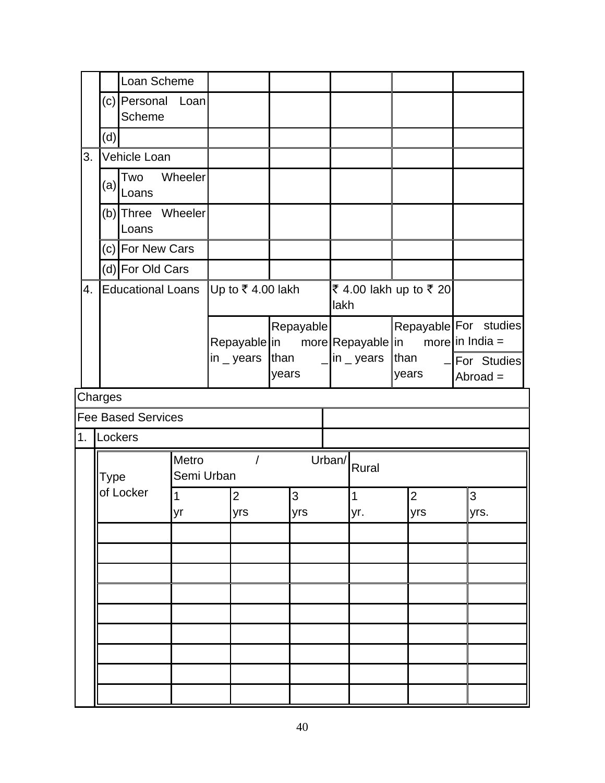|    |                            | Loan Scheme                 |                                             |                              |                                                                                       |                 |                                |  |                       |  |                              |                                                                          |           |
|----|----------------------------|-----------------------------|---------------------------------------------|------------------------------|---------------------------------------------------------------------------------------|-----------------|--------------------------------|--|-----------------------|--|------------------------------|--------------------------------------------------------------------------|-----------|
|    |                            | (c) Personal Loan<br>Scheme |                                             |                              |                                                                                       |                 |                                |  |                       |  |                              |                                                                          |           |
|    | (d)                        |                             |                                             |                              |                                                                                       |                 |                                |  |                       |  |                              |                                                                          |           |
| 3. | Vehicle Loan               |                             |                                             |                              |                                                                                       |                 |                                |  |                       |  |                              |                                                                          |           |
|    | (a)                        | Two<br>Loans                | Wheeler                                     |                              |                                                                                       |                 |                                |  |                       |  |                              |                                                                          |           |
|    | (b) Three Wheeler<br>Loans |                             |                                             |                              |                                                                                       |                 |                                |  |                       |  |                              |                                                                          |           |
|    | (c) For New Cars           |                             |                                             |                              |                                                                                       |                 |                                |  |                       |  |                              |                                                                          |           |
|    |                            | (d) For Old Cars            |                                             |                              |                                                                                       |                 |                                |  |                       |  |                              |                                                                          |           |
| 4. |                            | <b>Educational Loans</b>    | Up to ₹4.00 lakh                            |                              |                                                                                       |                 | ₹ 4.00 lakh up to ₹ 20<br>lakh |  |                       |  |                              |                                                                          |           |
|    |                            |                             |                                             |                              | Repayable<br>Repayable in more Repayable in<br>$\mathsf{in}$ _ years<br>than<br>years |                 |                                |  | in $\_$ years<br>than |  | years                        | Repayable For studies<br>more in India $=$<br>-For Studies<br>$Abroad =$ |           |
|    | Charges                    |                             |                                             |                              |                                                                                       |                 |                                |  |                       |  |                              |                                                                          |           |
|    |                            | <b>Fee Based Services</b>   |                                             |                              |                                                                                       |                 |                                |  |                       |  |                              |                                                                          |           |
|    | 1. Lockers                 |                             |                                             |                              |                                                                                       |                 |                                |  |                       |  |                              |                                                                          |           |
|    | Type                       |                             | $\sqrt{ }$<br>Urban/<br>Rural<br>Semi Urban |                              |                                                                                       |                 |                                |  |                       |  |                              |                                                                          |           |
|    |                            | of Locker<br>1<br>vr        |                                             | $\overline{2}$<br><b>vrs</b> |                                                                                       | 3<br><b>Vrs</b> |                                |  | $\mathbf 1$<br>yr.    |  | $\overline{2}$<br><b>Vrs</b> |                                                                          | 3<br>vrs. |
|    |                            |                             |                                             |                              |                                                                                       |                 |                                |  |                       |  |                              |                                                                          |           |
|    |                            |                             |                                             |                              |                                                                                       |                 |                                |  |                       |  |                              |                                                                          |           |
|    |                            |                             |                                             |                              |                                                                                       |                 |                                |  |                       |  |                              |                                                                          |           |
|    |                            |                             |                                             |                              |                                                                                       |                 |                                |  |                       |  |                              |                                                                          |           |
|    |                            |                             |                                             |                              |                                                                                       |                 |                                |  |                       |  |                              |                                                                          |           |
|    |                            |                             |                                             |                              |                                                                                       |                 |                                |  |                       |  |                              |                                                                          |           |
|    |                            |                             |                                             |                              |                                                                                       |                 |                                |  |                       |  |                              |                                                                          |           |
|    |                            |                             |                                             |                              |                                                                                       |                 |                                |  |                       |  |                              |                                                                          |           |